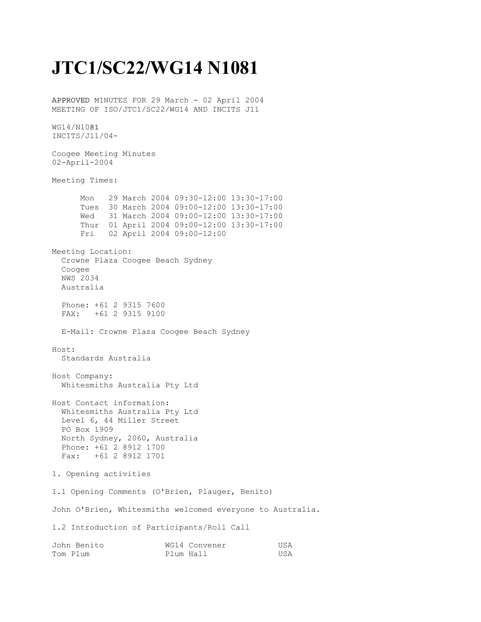# **JTC1/SC22/WG14 N1081**

APPROVED MINUTES FOR 29 March - 02 April 2004

MEETING OF ISO/JTC1/SC22/WG14 AND INCITS J11 WG14/N1081 INCITS/J11/04- Coogee Meeting Minutes 02-April-2004 Meeting Times: Mon 29 March 2004 09:30-12:00 13:30-17:00 Tues 30 March 2004 09:00-12:00 13:30-17:00 Wed 31 March 2004 09:00-12:00 13:30-17:00 Thur 01 April 2004 09:00-12:00 13:30-17:00 Fri 02 April 2004 09:00-12:00 Meeting Location: Crowne Plaza Coogee Beach Sydney Coogee NWS 2034 Australia Phone: +61 2 9315 7600 FAX: +61 2 9315 9100 E-Mail: Crowne Plaza Coogee Beach Sydney  $H \cap S^+$ : Standards Australia Host Company: Whitesmiths Australia Pty Ltd Host Contact information: Whitesmiths Australia Pty Ltd Level 6, 44 Miller Street PO Box 1909 North Sydney, 2060, Australia Phone: +61 2 8912 1700 Fax: +61 2 8912 1701 1. Opening activities 1.1 Opening Comments (O'Brien, Plauger, Benito) John O'Brien, Whitesmiths welcomed everyone to Australia. 1.2 Introduction of Participants/Roll Call John Benito **WG14 Convener** USA Tom Plum 1999 Plum Hall 1999 USA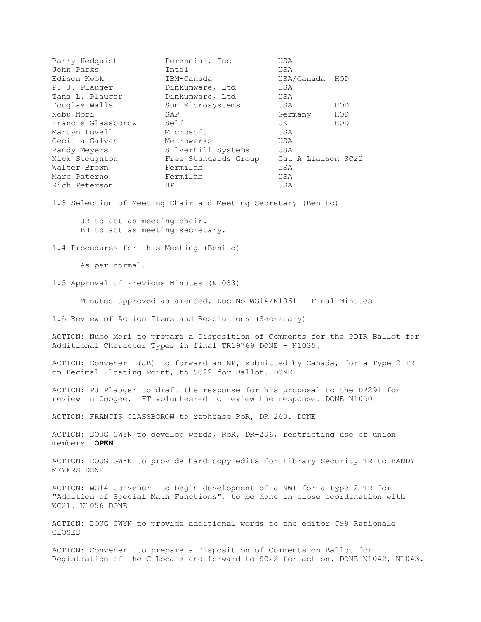| Barry Hedquist     | Perennial, Inc.      | USA                |     |
|--------------------|----------------------|--------------------|-----|
| John Parks         | Intel                | USA                |     |
| Edison Kwok        | IBM-Canada           | USA/Canada HOD     |     |
| P. J. Plauger      | Dinkumware, Ltd      | USA                |     |
| Tana L. Plauger    | Dinkumware, Ltd      | USA                |     |
| Douglas Walls      | Sun Microsystems     | USA                | HOD |
| Nobu Mori          | SAP                  | Germany            | HOD |
| Francis Glassborow | Self                 | UK                 | HOD |
| Martyn Lovell      | Microsoft            | USA                |     |
| Cecilia Galvan     | Metrowerks           | USA                |     |
| Randy Meyers       | Silverhill Systems   | USA                |     |
| Nick Stoughton     | Free Standards Group | Cat A Liaison SC22 |     |
| Walter Brown       | Fermilab             | USA                |     |
| Marc Paterno       | Fermilab             | USA                |     |
| Rich Peterson      | HP                   | USA                |     |

1.3 Selection of Meeting Chair and Meeting Secretary (Benito)

 JB to act as meeting chair. BH to act as meeting secretary.

1.4 Procedures for this Meeting (Benito)

As per normal.

1.5 Approval of Previous Minutes (N1033)

Minutes approved as amended. Doc No WG14/N1061 - Final Minutes

1.6 Review of Action Items and Resolutions (Secretary)

ACTION: Nubo Mori to prepare a Disposition of Comments for the PDTR Ballot for Additional Character Types in final TR19769 DONE - N1035.

ACTION: Convener (JB) to forward an NP, submitted by Canada, for a Type 2 TR on Decimal Floating Point, to SC22 for Ballot. DONE

ACTION: PJ Plauger to draft the response for his proposal to the DR291 for review in Coogee. FT volunteered to review the response. DONE N1050

ACTION: FRANCIS GLASSBOROW to rephrase RoR, DR 260. DONE

ACTION: DOUG GWYN to develop words, RoR, DR-236, restricting use of union members. **OPEN**

ACTION: DOUG GWYN to provide hard copy edits for Library Security TR to RANDY MEYERS DONE

ACTION: WG14 Convener to begin development of a NWI for a type 2 TR for "Addition of Special Math Functions", to be done in close coordination with WG21. N1056 DONE

ACTION: DOUG GWYN to provide additional words to the editor C99 Rationale CLOSED

ACTION: Convener to prepare a Disposition of Comments on Ballot for Registration of the C Locale and forward to SC22 for action. DONE N1042, N1043.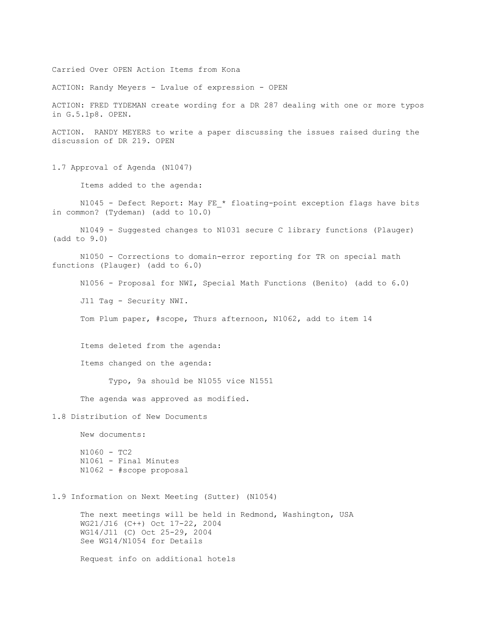Carried Over OPEN Action Items from Kona

ACTION: Randy Meyers - Lvalue of expression - OPEN

ACTION: FRED TYDEMAN create wording for a DR 287 dealing with one or more typos in G.5.1p8. OPEN.

ACTION. RANDY MEYERS to write a paper discussing the issues raised during the discussion of DR 219. OPEN

1.7 Approval of Agenda (N1047)

Items added to the agenda:

N1045 - Defect Report: May FE \* floating-point exception flags have bits in common? (Tydeman) (add to 10.0)

 N1049 - Suggested changes to N1031 secure C library functions (Plauger) (add to 9.0)

 N1050 - Corrections to domain-error reporting for TR on special math functions (Plauger) (add to 6.0)

N1056 - Proposal for NWI, Special Math Functions (Benito) (add to 6.0)

J11 Tag - Security NWI.

Tom Plum paper, #scope, Thurs afternoon, N1062, add to item 14

Items deleted from the agenda:

Items changed on the agenda:

Typo, 9a should be N1055 vice N1551

The agenda was approved as modified.

1.8 Distribution of New Documents

New documents:

 N1060 - TC2 N1061 - Final Minutes N1062 - #scope proposal

1.9 Information on Next Meeting (Sutter) (N1054)

 The next meetings will be held in Redmond, Washington, USA WG21/J16 (C++) Oct 17-22, 2004 WG14/J11 (C) Oct 25-29, 2004 See WG14/N1054 for Details

Request info on additional hotels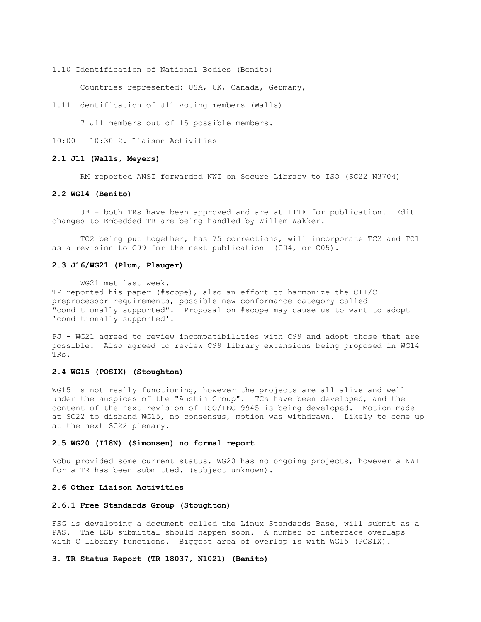1.10 Identification of National Bodies (Benito)

Countries represented: USA, UK, Canada, Germany,

1.11 Identification of J11 voting members (Walls)

7 J11 members out of 15 possible members.

10:00 - 10:30 2. Liaison Activities

# **2.1 J11 (Walls, Meyers)**

RM reported ANSI forwarded NWI on Secure Library to ISO (SC22 N3704)

#### **2.2 WG14 (Benito)**

 JB - both TRs have been approved and are at ITTF for publication. Edit changes to Embedded TR are being handled by Willem Wakker.

 TC2 being put together, has 75 corrections, will incorporate TC2 and TC1 as a revision to C99 for the next publication (C04, or C05).

#### **2.3 J16/WG21 (Plum, Plauger)**

 WG21 met last week. TP reported his paper (#scope), also an effort to harmonize the  $C++/C$ preprocessor requirements, possible new conformance category called "conditionally supported". Proposal on #scope may cause us to want to adopt 'conditionally supported'.

PJ - WG21 agreed to review incompatibilities with C99 and adopt those that are possible. Also agreed to review C99 library extensions being proposed in WG14 TRs.

## **2.4 WG15 (POSIX) (Stoughton)**

WG15 is not really functioning, however the projects are all alive and well under the auspices of the "Austin Group". TCs have been developed, and the content of the next revision of ISO/IEC 9945 is being developed. Motion made at SC22 to disband WG15, no consensus, motion was withdrawn. Likely to come up at the next SC22 plenary.

## **2.5 WG20 (I18N) (Simonsen) no formal report**

Nobu provided some current status. WG20 has no ongoing projects, however a NWI for a TR has been submitted. (subject unknown).

# **2.6 Other Liaison Activities**

## **2.6.1 Free Standards Group (Stoughton)**

FSG is developing a document called the Linux Standards Base, will submit as a PAS. The LSB submittal should happen soon. A number of interface overlaps with C library functions. Biggest area of overlap is with WG15 (POSIX).

# **3. TR Status Report (TR 18037, N1021) (Benito)**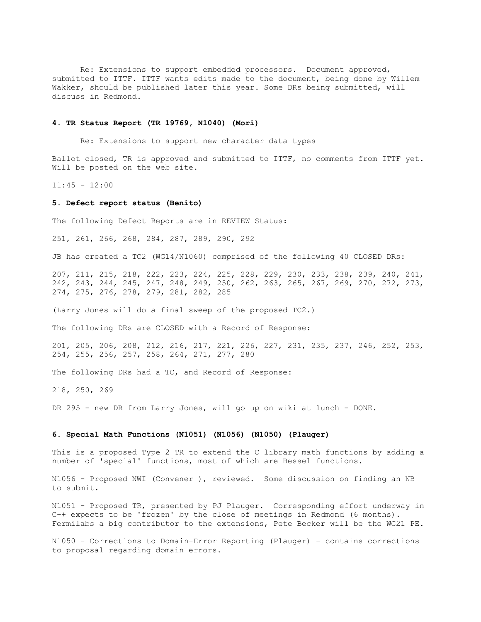Re: Extensions to support embedded processors. Document approved, submitted to ITTF. ITTF wants edits made to the document, being done by Willem Wakker, should be published later this year. Some DRs being submitted, will discuss in Redmond.

#### **4. TR Status Report (TR 19769, N1040) (Mori)**

Re: Extensions to support new character data types

Ballot closed, TR is approved and submitted to ITTF, no comments from ITTF yet. Will be posted on the web site.

 $11:45 - 12:00$ 

## **5. Defect report status (Benito)**

The following Defect Reports are in REVIEW Status:

251, 261, 266, 268, 284, 287, 289, 290, 292

JB has created a TC2 (WG14/N1060) comprised of the following 40 CLOSED DRs:

207, 211, 215, 218, 222, 223, 224, 225, 228, 229, 230, 233, 238, 239, 240, 241, 242, 243, 244, 245, 247, 248, 249, 250, 262, 263, 265, 267, 269, 270, 272, 273, 274, 275, 276, 278, 279, 281, 282, 285

(Larry Jones will do a final sweep of the proposed TC2.)

The following DRs are CLOSED with a Record of Response:

201, 205, 206, 208, 212, 216, 217, 221, 226, 227, 231, 235, 237, 246, 252, 253, 254, 255, 256, 257, 258, 264, 271, 277, 280

The following DRs had a TC, and Record of Response:

218, 250, 269

DR 295 - new DR from Larry Jones, will go up on wiki at lunch - DONE.

## **6. Special Math Functions (N1051) (N1056) (N1050) (Plauger)**

This is a proposed Type 2 TR to extend the C library math functions by adding a number of 'special' functions, most of which are Bessel functions.

N1056 - Proposed NWI (Convener ), reviewed. Some discussion on finding an NB to submit.

N1051 - Proposed TR, presented by PJ Plauger. Corresponding effort underway in C++ expects to be 'frozen' by the close of meetings in Redmond (6 months). Fermilabs a big contributor to the extensions, Pete Becker will be the WG21 PE.

N1050 - Corrections to Domain-Error Reporting (Plauger) - contains corrections to proposal regarding domain errors.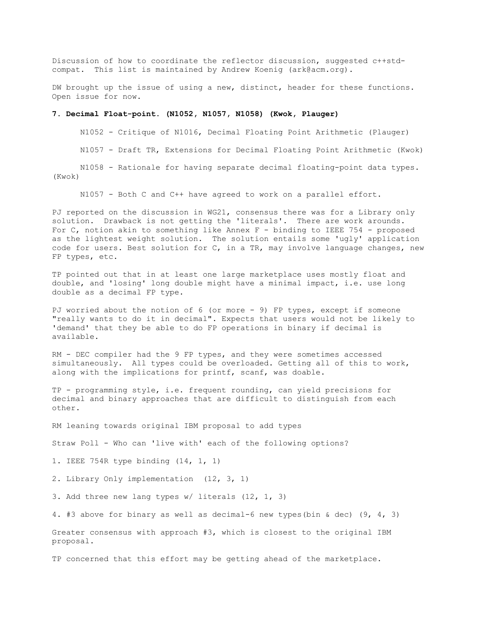Discussion of how to coordinate the reflector discussion, suggested c++stdcompat. This list is maintained by Andrew Koenig (ark@acm.org).

DW brought up the issue of using a new, distinct, header for these functions. Open issue for now.

#### **7. Decimal Float-point. (N1052, N1057, N1058) (Kwok, Plauger)**

N1052 - Critique of N1016, Decimal Floating Point Arithmetic (Plauger)

N1057 - Draft TR, Extensions for Decimal Floating Point Arithmetic (Kwok)

 N1058 - Rationale for having separate decimal floating-point data types. (Kwok)

N1057 - Both C and C++ have agreed to work on a parallel effort.

PJ reported on the discussion in WG21, consensus there was for a Library only solution. Drawback is not getting the 'literals'. There are work arounds. For  $C$ , notion akin to something like Annex  $F -$  binding to IEEE 754 - proposed as the lightest weight solution. The solution entails some 'ugly' application code for users. Best solution for C, in a TR, may involve language changes, new FP types, etc.

TP pointed out that in at least one large marketplace uses mostly float and double, and 'losing' long double might have a minimal impact, i.e. use long double as a decimal FP type.

PJ worried about the notion of 6 (or more - 9) FP types, except if someone "really wants to do it in decimal". Expects that users would not be likely to 'demand' that they be able to do FP operations in binary if decimal is available.

RM - DEC compiler had the 9 FP types, and they were sometimes accessed simultaneously. All types could be overloaded. Getting all of this to work, along with the implications for printf, scanf, was doable.

TP - programming style, i.e. frequent rounding, can yield precisions for decimal and binary approaches that are difficult to distinguish from each other.

RM leaning towards original IBM proposal to add types

Straw Poll - Who can 'live with' each of the following options?

1. IEEE 754R type binding (14, 1, 1)

2. Library Only implementation (12, 3, 1)

3. Add three new lang types w/ literals (12, 1, 3)

4. #3 above for binary as well as decimal-6 new types(bin & dec) (9, 4, 3)

Greater consensus with approach #3, which is closest to the original IBM proposal.

TP concerned that this effort may be getting ahead of the marketplace.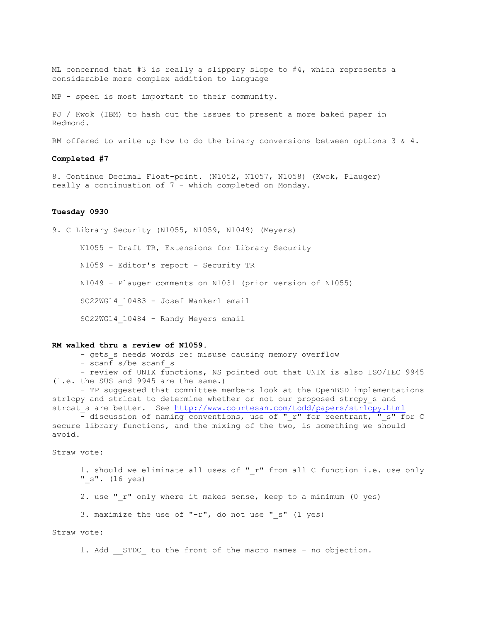ML concerned that #3 is really a slippery slope to #4, which represents a considerable more complex addition to language

MP - speed is most important to their community.

PJ / Kwok (IBM) to hash out the issues to present a more baked paper in Redmond.

RM offered to write up how to do the binary conversions between options  $3 \& 4$ .

## **Completed #7**

8. Continue Decimal Float-point. (N1052, N1057, N1058) (Kwok, Plauger) really a continuation of 7 - which completed on Monday.

# **Tuesday 0930**

9. C Library Security (N1055, N1059, N1049) (Meyers)

N1055 - Draft TR, Extensions for Library Security

N1059 - Editor's report - Security TR

N1049 - Plauger comments on N1031 (prior version of N1055)

SC22WG14\_10483 - Josef Wankerl email

SC22WG14\_10484 - Randy Meyers email

#### **RM walked thru a review of N1059.**

- gets s needs words re: misuse causing memory overflow

- scanf s/be scanf s

- review of UNIX functions, NS pointed out that UNIX is also ISO/IEC 9945 (i.e. the SUS and 9945 are the same.)

 - TP suggested that committee members look at the OpenBSD implementations strlcpy and strlcat to determine whether or not our proposed strcpy s and strcat s are better. See http://www.courtesan.com/todd/papers/strlcpy.html

- discussion of naming conventions, use of " r" for reentrant, " s" for C secure library functions, and the mixing of the two, is something we should avoid.

Straw vote:

1. should we eliminate all uses of " r" from all C function i.e. use only "\_s". (16 yes)

2. use " r" only where it makes sense, keep to a minimum (0 yes)

3. maximize the use of "-r", do not use " $s$ " (1 yes)

#### Straw vote:

1. Add STDC to the front of the macro names - no objection.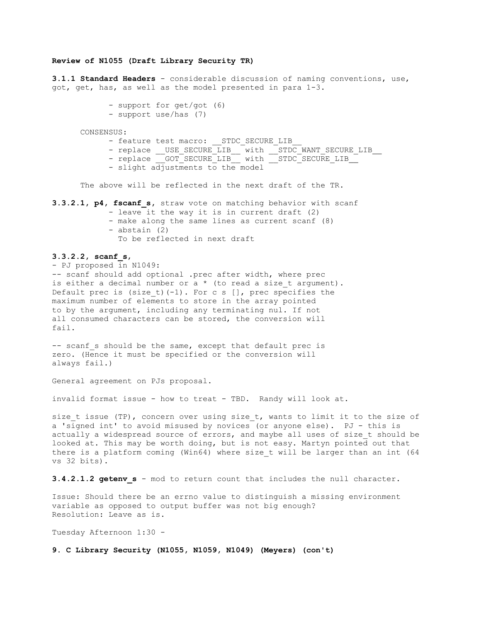## **Review of N1055 (Draft Library Security TR)**

**3.1.1 Standard Headers** - considerable discussion of naming conventions, use, got, get, has, as well as the model presented in para 1-3.

> - support for get/got (6) - support use/has (7)

CONSENSUS:

- feature test macro: \_\_STDC\_SECURE\_LIB\_
- replace \_\_USE\_SECURE\_LIB \_\_ with \_\_STDC\_WANT\_SECURE\_LIB\_
- replace \_\_GOT\_SECURE\_LIB\_\_ with \_\_STDC\_SECURE\_LIB\_\_
- slight adjustments to the model

The above will be reflected in the next draft of the TR.

**3.3.2.1, p4, fscanf\_s,** straw vote on matching behavior with scanf

- leave it the way it is in current draft (2) - make along the same lines as current scanf (8)
- abstain (2)
	- To be reflected in next draft

# **3.3.2.2, scanf\_s**,

- PJ proposed in N1049:

-- scanf should add optional .prec after width, where prec is either a decimal number or a  $*$  (to read a size t argument). Default prec is (size t)  $(-1)$ . For c s  $[$ , prec specifies the maximum number of elements to store in the array pointed to by the argument, including any terminating nul. If not all consumed characters can be stored, the conversion will fail.

-- scanf s should be the same, except that default prec is zero. (Hence it must be specified or the conversion will always fail.)

General agreement on PJs proposal.

invalid format issue - how to treat - TBD. Randy will look at.

size t issue (TP), concern over using size t, wants to limit it to the size of a 'signed int' to avoid misused by novices (or anyone else). PJ - this is actually a widespread source of errors, and maybe all uses of size t should be looked at. This may be worth doing, but is not easy. Martyn pointed out that there is a platform coming (Win64) where size t will be larger than an int (64 vs 32 bits).

**3.4.2.1.2 getenv\_s** - mod to return count that includes the null character.

Issue: Should there be an errno value to distinguish a missing environment variable as opposed to output buffer was not big enough? Resolution: Leave as is.

Tuesday Afternoon 1:30 -

**9. C Library Security (N1055, N1059, N1049) (Meyers) (con't)**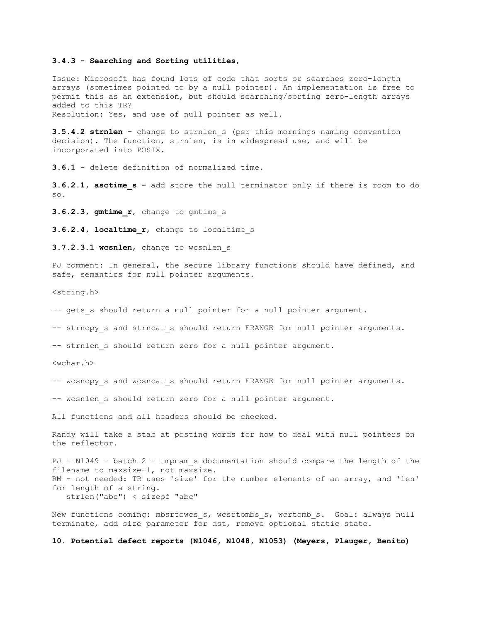## **3.4.3 - Searching and Sorting utilities**,

Issue: Microsoft has found lots of code that sorts or searches zero-length arrays (sometimes pointed to by a null pointer). An implementation is free to permit this as an extension, but should searching/sorting zero-length arrays added to this TR? Resolution: Yes, and use of null pointer as well.

**3.5.4.2 strnlen** - change to strnlen\_s (per this mornings naming convention decision). The function, strnlen, is in widespread use, and will be incorporated into POSIX.

**3.6.1** - delete definition of normalized time.

**3.6.2.1, asctime\_s -** add store the null terminator only if there is room to do so.

**3.6.2.3, gmtime\_r**, change to gmtime\_s

**3.6.2.4, localtime\_r**, change to localtime\_s

**3.7.2.3.1 wcsnlen**, change to wcsnlen\_s

PJ comment: In general, the secure library functions should have defined, and safe, semantics for null pointer arguments.

<string.h>

-- gets s should return a null pointer for a null pointer argument.

-- strncpy s and strncat s should return ERANGE for null pointer arguments.

-- strnlen s should return zero for a null pointer argument.

<wchar.h>

-- wcsncpy s and wcsncat s should return ERANGE for null pointer arguments.

-- wcsnlen s should return zero for a null pointer argument.

All functions and all headers should be checked.

Randy will take a stab at posting words for how to deal with null pointers on the reflector.

PJ - N1049 - batch 2 - tmpnam\_s documentation should compare the length of the filename to maxsize-1, not maxsize. RM - not needed: TR uses 'size' for the number elements of an array, and 'len' for length of a string. strlen("abc") < sizeof "abc"

New functions coming: mbsrtowcs s, wcsrtombs s, wcrtomb s. Goal: always null terminate, add size parameter for dst, remove optional static state.

**10. Potential defect reports (N1046, N1048, N1053) (Meyers, Plauger, Benito)**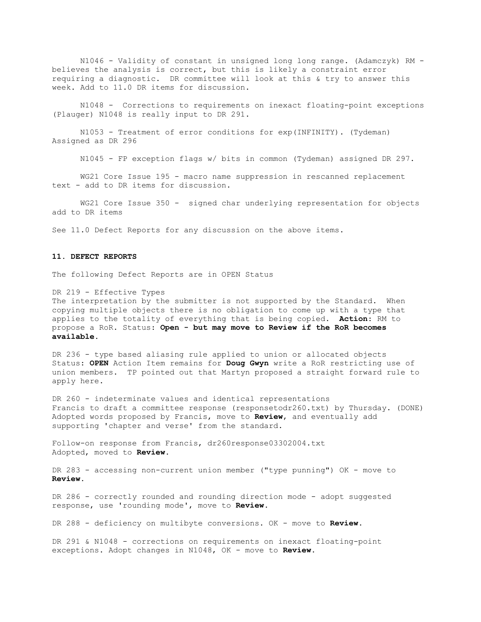N1046 - Validity of constant in unsigned long long range. (Adamczyk) RM believes the analysis is correct, but this is likely a constraint error requiring a diagnostic. DR committee will look at this & try to answer this week. Add to 11.0 DR items for discussion.

 N1048 - Corrections to requirements on inexact floating-point exceptions (Plauger) N1048 is really input to DR 291.

 N1053 - Treatment of error conditions for exp(INFINITY). (Tydeman) Assigned as DR 296

N1045 - FP exception flags w/ bits in common (Tydeman) assigned DR 297.

 WG21 Core Issue 195 - macro name suppression in rescanned replacement text - add to DR items for discussion.

 WG21 Core Issue 350 - signed char underlying representation for objects add to DR items

See 11.0 Defect Reports for any discussion on the above items.

## **11. DEFECT REPORTS**

The following Defect Reports are in OPEN Status

DR 219 - Effective Types The interpretation by the submitter is not supported by the Standard. When copying multiple objects there is no obligation to come up with a type that applies to the totality of everything that is being copied. **Action**: RM to propose a RoR. Status: **Open - but may move to Review if the RoR becomes available.**

DR 236 - type based aliasing rule applied to union or allocated objects Status: **OPEN** Action Item remains for **Doug Gwyn** write a RoR restricting use of union members. TP pointed out that Martyn proposed a straight forward rule to apply here.

DR 260 - indeterminate values and identical representations Francis to draft a committee response (responsetodr260.txt) by Thursday. (DONE) Adopted words proposed by Francis, move to **Review**, and eventually add supporting 'chapter and verse' from the standard.

Follow-on response from Francis, dr260response03302004.txt Adopted, moved to **Review**.

DR 283 - accessing non-current union member ("type punning") OK - move to **Review**.

DR 286 - correctly rounded and rounding direction mode - adopt suggested response, use 'rounding mode', move to **Review**.

DR 288 - deficiency on multibyte conversions. OK - move to **Review**.

DR 291 & N1048 - corrections on requirements on inexact floating-point exceptions. Adopt changes in N1048, OK - move to **Review**.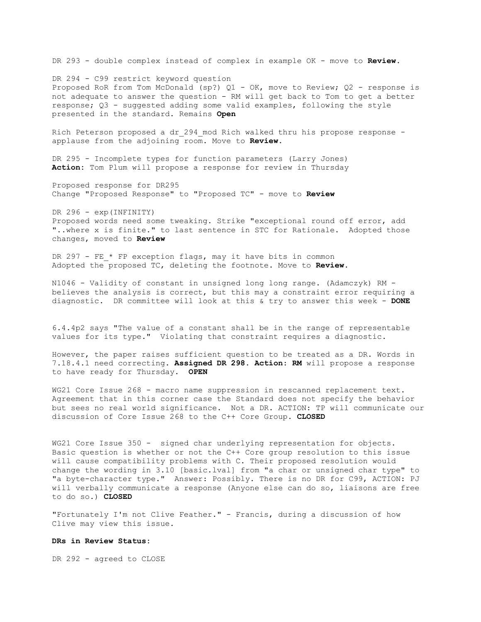DR 293 - double complex instead of complex in example OK - move to **Review**.

DR 294 - C99 restrict keyword question Proposed RoR from Tom McDonald (sp?) Q1 - OK, move to Review; Q2 - response is not adequate to answer the question - RM will get back to Tom to get a better response; Q3 - suggested adding some valid examples, following the style presented in the standard. Remains **Open** 

Rich Peterson proposed a dr 294 mod Rich walked thru his propose response applause from the adjoining room. Move to **Review**.

DR 295 - Incomplete types for function parameters (Larry Jones) **Action:** Tom Plum will propose a response for review in Thursday

Proposed response for DR295 Change "Proposed Response" to "Proposed TC" - move to **Review** 

DR 296 - exp(INFINITY) Proposed words need some tweaking. Strike "exceptional round off error, add "..where x is finite." to last sentence in STC for Rationale. Adopted those changes, moved to **Review**

DR 297 - FE \* FP exception flags, may it have bits in common Adopted the proposed TC, deleting the footnote. Move to **Review**.

N1046 - Validity of constant in unsigned long long range. (Adamczyk) RM believes the analysis is correct, but this may a constraint error requiring a diagnostic. DR committee will look at this & try to answer this week - **DONE**

6.4.4p2 says "The value of a constant shall be in the range of representable values for its type." Violating that constraint requires a diagnostic.

However, the paper raises sufficient question to be treated as a DR. Words in 7.18.4.1 need correcting. **Assigned DR 298**. **Action**: **RM** will propose a response to have ready for Thursday. **OPEN** 

WG21 Core Issue 268 - macro name suppression in rescanned replacement text. Agreement that in this corner case the Standard does not specify the behavior but sees no real world significance. Not a DR. ACTION: TP will communicate our discussion of Core Issue 268 to the C++ Core Group. **CLOSED**

WG21 Core Issue 350 - signed char underlying representation for objects. Basic question is whether or not the C++ Core group resolution to this issue will cause compatibility problems with C. Their proposed resolution would change the wording in 3.10 [basic.lval] from "a char or unsigned char type" to "a byte-character type." Answer: Possibly. There is no DR for C99, ACTION: PJ will verbally communicate a response (Anyone else can do so, liaisons are free to do so.) **CLOSED**

"Fortunately I'm not Clive Feather." - Francis, during a discussion of how Clive may view this issue.

## **DRs in Review Status:**

DR 292 - agreed to CLOSE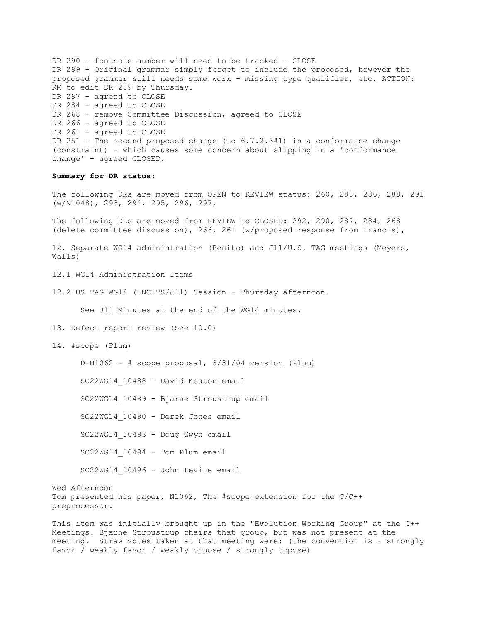DR 290 - footnote number will need to be tracked - CLOSE DR 289 - Original grammar simply forget to include the proposed, however the proposed grammar still needs some work - missing type qualifier, etc. ACTION: RM to edit DR 289 by Thursday. DR 287 - agreed to CLOSE DR 284 - agreed to CLOSE DR 268 - remove Committee Discussion, agreed to CLOSE DR 266 - agreed to CLOSE DR 261 - agreed to CLOSE DR 251 - The second proposed change (to 6.7.2.3#1) is a conformance change (constraint) - which causes some concern about slipping in a 'conformance change' - agreed CLOSED.

## **Summary for DR status:**

The following DRs are moved from OPEN to REVIEW status: 260, 283, 286, 288, 291 (w/N1048), 293, 294, 295, 296, 297,

The following DRs are moved from REVIEW to CLOSED: 292, 290, 287, 284, 268 (delete committee discussion), 266, 261 (w/proposed response from Francis),

12. Separate WG14 administration (Benito) and J11/U.S. TAG meetings (Meyers, Walls)

12.1 WG14 Administration Items

12.2 US TAG WG14 (INCITS/J11) Session - Thursday afternoon.

See J11 Minutes at the end of the WG14 minutes.

13. Defect report review (See 10.0)

14. #scope (Plum)

D-N1062 - # scope proposal, 3/31/04 version (Plum)

SC22WG14\_10488 - David Keaton email

SC22WG14\_10489 - Bjarne Stroustrup email

SC22WG14\_10490 - Derek Jones email

SC22WG14\_10493 - Doug Gwyn email

SC22WG14\_10494 - Tom Plum email

SC22WG14\_10496 - John Levine email

Wed Afternoon Tom presented his paper, N1062, The #scope extension for the C/C++ preprocessor.

This item was initially brought up in the "Evolution Working Group" at the C++ Meetings. Bjarne Stroustrup chairs that group, but was not present at the meeting. Straw votes taken at that meeting were: (the convention is - strongly favor / weakly favor / weakly oppose / strongly oppose)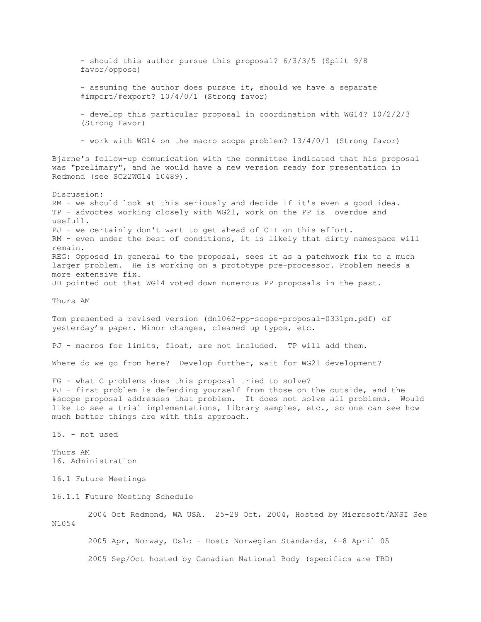- should this author pursue this proposal? 6/3/3/5 (Split 9/8 favor/oppose) - assuming the author does pursue it, should we have a separate #import/#export? 10/4/0/1 (Strong favor) - develop this particular proposal in coordination with WG14? 10/2/2/3 (Strong Favor) - work with WG14 on the macro scope problem? 13/4/0/1 (Strong favor) Bjarne's follow-up comunication with the committee indicated that his proposal was "prelimary", and he would have a new version ready for presentation in Redmond (see SC22WG14 10489). Discussion: RM - we should look at this seriously and decide if it's even a good idea. TP - advoctes working closely with WG21, work on the PP is overdue and usefull. PJ - we certainly don't want to get ahead of C++ on this effort. RM - even under the best of conditions, it is likely that dirty namespace will remain. REG: Opposed in general to the proposal, sees it as a patchwork fix to a much larger problem. He is working on a prototype pre-processor. Problem needs a more extensive fix. JB pointed out that WG14 voted down numerous PP proposals in the past. Thurs AM Tom presented a revised version (dn1062-pp-scope-proposal-0331pm.pdf) of yesterday's paper. Minor changes, cleaned up typos, etc. PJ - macros for limits, float, are not included. TP will add them. Where do we go from here? Develop further, wait for WG21 development? FG - what C problems does this proposal tried to solve? PJ - first problem is defending yourself from those on the outside, and the #scope proposal addresses that problem. It does not solve all problems. Would like to see a trial implementations, library samples, etc., so one can see how much better things are with this approach. 15. - not used Thurs AM 16. Administration 16.1 Future Meetings 16.1.1 Future Meeting Schedule 2004 Oct Redmond, WA USA. 25-29 Oct, 2004, Hosted by Microsoft/ANSI See N1054 2005 Apr, Norway, Oslo - Host: Norwegian Standards, 4-8 April 05 2005 Sep/Oct hosted by Canadian National Body (specifics are TBD)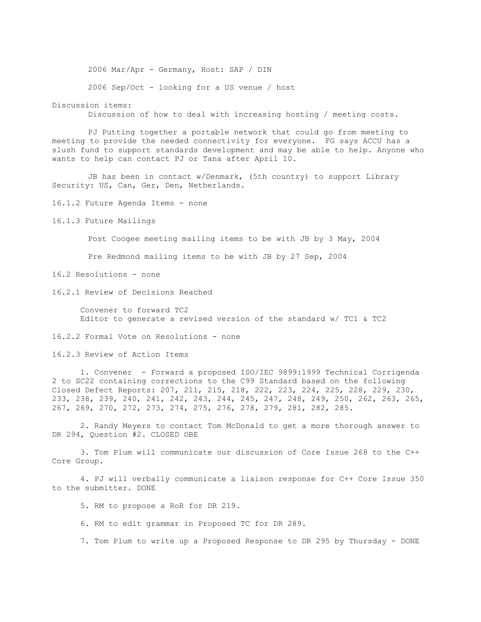2006 Mar/Apr - Germany, Host: SAP / DIN

2006 Sep/Oct - looking for a US venue / host

Discussion items:

Discussion of how to deal with increasing hosting / meeting costs.

 PJ Putting together a portable network that could go from meeting to meeting to provide the needed connectivity for everyone. FG says ACCU has a slush fund to support standards development and may be able to help. Anyone who wants to help can contact PJ or Tana after April 10.

 JB has been in contact w/Denmark, (5th country) to support Library Security: US, Can, Ger, Den, Netherlands.

16.1.2 Future Agenda Items - none

16.1.3 Future Mailings

Post Coogee meeting mailing items to be with JB by 3 May, 2004

Pre Redmond mailing items to be with JB by 27 Sep, 2004

16.2 Resolutions - none

16.2.1 Review of Decisions Reached

 Convener to forward TC2 Editor to generate a revised version of the standard w/ TC1 & TC2

16.2.2 Formal Vote on Resolutions - none

16.2.3 Review of Action Items

 1. Convener - Forward a proposed ISO/IEC 9899:1999 Technical Corrigenda 2 to SC22 containing corrections to the C99 Standard based on the following Closed Defect Reports: 207, 211, 215, 218, 222, 223, 224, 225, 228, 229, 230, 233, 238, 239, 240, 241, 242, 243, 244, 245, 247, 248, 249, 250, 262, 263, 265, 267, 269, 270, 272, 273, 274, 275, 276, 278, 279, 281, 282, 285.

 2. Randy Meyers to contact Tom McDonald to get a more thorough answer to DR 294, Question #2. CLOSED OBE

 3. Tom Plum will communicate our discussion of Core Issue 268 to the C++ Core Group.

 4. PJ will verbally communicate a liaison response for C++ Core Issue 350 to the submitter. DONE

5. RM to propose a RoR for DR 219.

6. RM to edit grammar in Proposed TC for DR 289.

7. Tom Plum to write up a Proposed Response to DR 295 by Thursday - DONE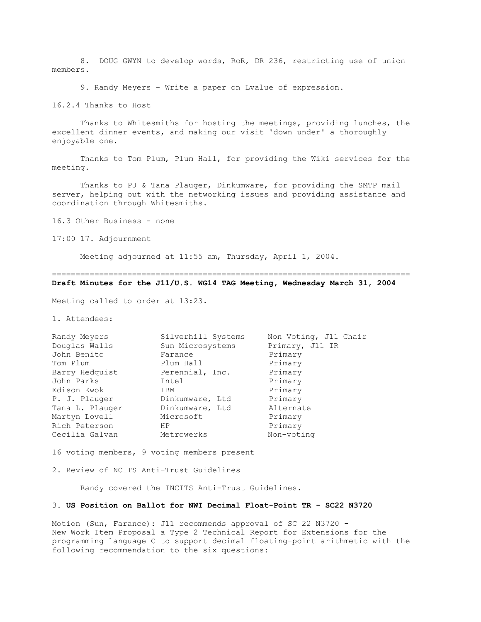8. DOUG GWYN to develop words, RoR, DR 236, restricting use of union members.

9. Randy Meyers - Write a paper on Lvalue of expression.

16.2.4 Thanks to Host

 Thanks to Whitesmiths for hosting the meetings, providing lunches, the excellent dinner events, and making our visit 'down under' a thoroughly enjoyable one.

 Thanks to Tom Plum, Plum Hall, for providing the Wiki services for the meeting.

Thanks to PJ & Tana Plauger, Dinkumware, for providing the SMTP mail server, helping out with the networking issues and providing assistance and coordination through Whitesmiths.

16.3 Other Business - none

17:00 17. Adjournment

Meeting adjourned at 11:55 am, Thursday, April 1, 2004.

============================================================================

# **Draft Minutes for the J11/U.S. WG14 TAG Meeting, Wednesday March 31, 2004**

Meeting called to order at 13:23.

1. Attendees:

| Randy Meyers    | Silverhill Systems | Non Voting, J11 Chair |
|-----------------|--------------------|-----------------------|
| Douglas Walls   | Sun Microsystems   | Primary, J11 IR       |
| John Benito     | Farance            | Primary               |
| Tom Plum        | Plum Hall          | Primary               |
| Barry Hedquist  | Perennial, Inc.    | Primary               |
| John Parks      | Intel              | Primary               |
| Edison Kwok     | IBM                | Primary               |
| P. J. Plauger   | Dinkumware, Ltd    | Primary               |
| Tana L. Plauger | Dinkumware, Ltd    | Alternate             |
| Martyn Lovell   | Microsoft          | Primary               |
| Rich Peterson   | HP                 | Primary               |
| Cecilia Galvan  | Metrowerks         | Non-voting            |

16 voting members, 9 voting members present

2. Review of NCITS Anti-Trust Guidelines

Randy covered the INCITS Anti-Trust Guidelines.

# 3. **US Position on Ballot for NWI Decimal Float-Point TR - SC22 N3720**

Motion (Sun, Farance): J11 recommends approval of SC 22 N3720 - New Work Item Proposal a Type 2 Technical Report for Extensions for the programming language C to support decimal floating-point arithmetic with the following recommendation to the six questions: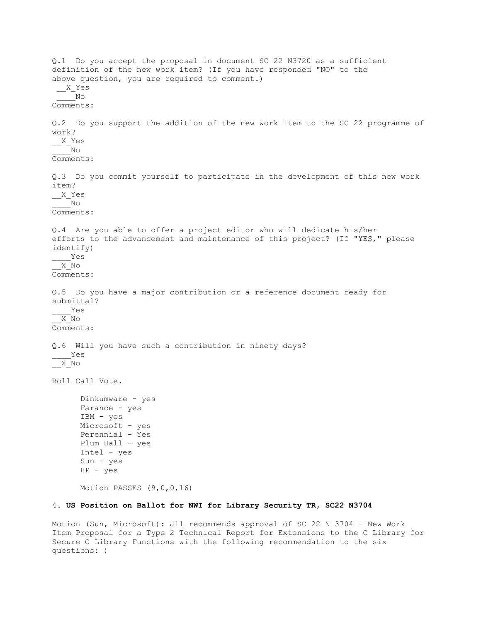Q.1 Do you accept the proposal in document SC 22 N3720 as a sufficient definition of the new work item? (If you have responded "NO" to the above question, you are required to comment.) \_\_X\_Yes  $N<sub>O</sub>$ Comments: Q.2 Do you support the addition of the new work item to the SC 22 programme of work? \_\_X\_Yes \_\_\_\_No Comments: Q.3 Do you commit yourself to participate in the development of this new work item?  $X_Y$ es  $N<sub>O</sub>$ Comments: Q.4 Are you able to offer a project editor who will dedicate his/her efforts to the advancement and maintenance of this project? (If "YES," please identify) \_\_\_\_Yes  $\underline{\overline{X}}$ No Comments: Q.5 Do you have a major contribution or a reference document ready for submittal? \_\_\_\_Yes  $\overline{X}$ No Comments: Q.6 Will you have such a contribution in ninety days? \_\_\_\_Yes  $\overline{X}$ No Roll Call Vote. Dinkumware - yes Farance - yes IBM - yes Microsoft - yes Perennial - Yes Plum Hall - yes Intel - yes Sun - yes HP - yes Motion PASSES (9,0,0,16)

# 4. **US Position on Ballot for NWI for Library Security TR, SC22 N3704**

Motion (Sun, Microsoft): J11 recommends approval of SC 22 N 3704 - New Work Item Proposal for a Type 2 Technical Report for Extensions to the C Library for Secure C Library Functions with the following recommendation to the six questions: )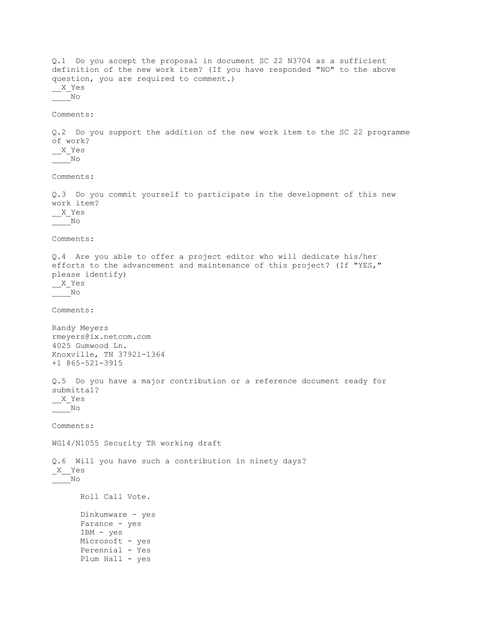Q.1 Do you accept the proposal in document SC 22 N3704 as a sufficient definition of the new work item? (If you have responded "NO" to the above question, you are required to comment.) \_\_X\_Yes  $N<sub>O</sub>$ Comments: Q.2 Do you support the addition of the new work item to the SC 22 programme of work? \_\_X\_Yes \_\_\_\_No Comments: Q.3 Do you commit yourself to participate in the development of this new work item?  $X$  Yes  $N<sub>O</sub>$ Comments: Q.4 Are you able to offer a project editor who will dedicate his/her efforts to the advancement and maintenance of this project? (If "YES," please identify)  $X_Y$ es \_\_\_\_No Comments: Randy Meyers rmeyers@ix.netcom.com 4025 Gumwood Ln. Knoxville, TN 37921-1364 +1 865-521-3915 Q.5 Do you have a major contribution or a reference document ready for submittal? \_\_X\_Yes \_\_\_\_No Comments: WG14/N1055 Security TR working draft Q.6 Will you have such a contribution in ninety days? \_X\_\_Yes  $N<sub>O</sub>$  Roll Call Vote. Dinkumware - yes Farance - yes IBM - yes Microsoft - yes Perennial - Yes Plum Hall - yes